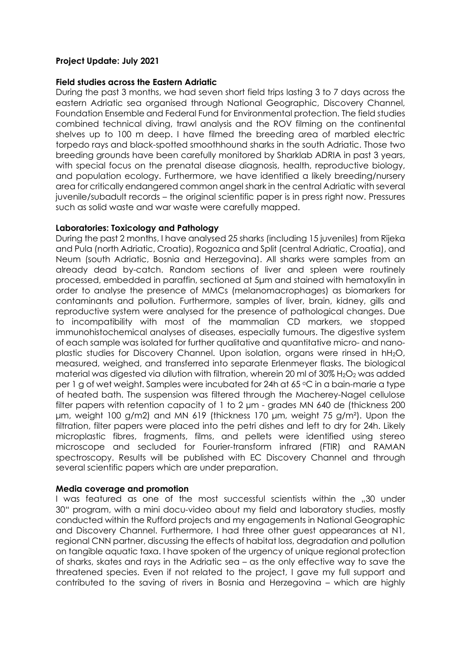## **Project Update: July 2021**

#### **Field studies across the Eastern Adriatic**

During the past 3 months, we had seven short field trips lasting 3 to 7 days across the eastern Adriatic sea organised through National Geographic, Discovery Channel, Foundation Ensemble and Federal Fund for Environmental protection. The field studies combined technical diving, trawl analysis and the ROV filming on the continental shelves up to 100 m deep. I have filmed the breeding area of marbled electric torpedo rays and black-spotted smoothhound sharks in the south Adriatic. Those two breeding grounds have been carefully monitored by Sharklab ADRIA in past 3 years, with special focus on the prenatal disease diagnosis, health, reproductive biology, and population ecology. Furthermore, we have identified a likely breeding/nursery area for critically endangered common angel shark in the central Adriatic with several juvenile/subadult records – the original scientific paper is in press right now. Pressures such as solid waste and war waste were carefully mapped.

#### **Laboratories: Toxicology and Pathology**

During the past 2 months, I have analysed 25 sharks (including 15 juveniles) from Rijeka and Pula (north Adriatic, Croatia), Rogoznica and Split (central Adriatic, Croatia), and Neum (south Adriatic, Bosnia and Herzegovina). All sharks were samples from an already dead by-catch. Random sections of liver and spleen were routinely processed, embedded in paraffin, sectioned at 5μm and stained with hematoxylin in order to analyse the presence of MMCs (melanomacrophages) as biomarkers for contaminants and pollution. Furthermore, samples of liver, brain, kidney, gills and reproductive system were analysed for the presence of pathological changes. Due to incompatibility with most of the mammalian CD markers, we stopped immunohistochemical analyses of diseases, especially tumours. The digestive system of each sample was isolated for further qualitative and quantitative micro- and nanoplastic studies for Discovery Channel. Upon isolation, organs were rinsed in hH2O, measured, weighed, and transferred into separate Erlenmeyer flasks. The biological material was digested via dilution with filtration, wherein 20 ml of  $30\%$  H<sub>2</sub>O<sub>2</sub> was added per 1 g of wet weight. Samples were incubated for 24h at 65 °C in a bain-marie a type of heated bath. The suspension was filtered through the Macherey-Nagel cellulose filter papers with retention capacity of 1 to 2 µm - grades MN 640 de (thickness 200 μm, weight 100 g/m2) and MN 619 (thickness 170 μm, weight 75 g/m²). Upon the filtration, filter papers were placed into the petri dishes and left to dry for 24h. Likely microplastic fibres, fragments, films, and pellets were identified using stereo microscope and secluded for Fourier-transform infrared (FTIR) and RAMAN spectroscopy. Results will be published with EC Discovery Channel and through several scientific papers which are under preparation.

#### **Media coverage and promotion**

I was featured as one of the most successful scientists within the "30 under 30" program, with a mini docu-video about my field and laboratory studies, mostly conducted within the Rufford projects and my engagements in National Geographic and Discovery Channel. Furthermore, I had three other guest appearances at N1, regional CNN partner, discussing the effects of habitat loss, degradation and pollution on tangible aquatic taxa. I have spoken of the urgency of unique regional protection of sharks, skates and rays in the Adriatic sea – as the only effective way to save the threatened species. Even if not related to the project, I gave my full support and contributed to the saving of rivers in Bosnia and Herzegovina – which are highly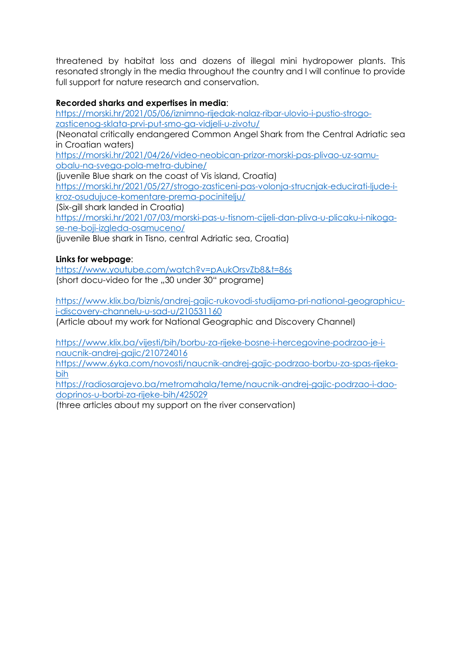threatened by habitat loss and dozens of illegal mini hydropower plants. This resonated strongly in the media throughout the country and I will continue to provide full support for nature research and conservation.

# **Recorded sharks and expertises in media**:

[https://morski.hr/2021/05/06/iznimno-rijedak-nalaz-ribar-ulovio-i-pustio-strogo](https://morski.hr/2021/05/06/iznimno-rijedak-nalaz-ribar-ulovio-i-pustio-strogo-zasticenog-sklata-prvi-put-smo-ga-vidjeli-u-zivotu/)[zasticenog-sklata-prvi-put-smo-ga-vidjeli-u-zivotu/](https://morski.hr/2021/05/06/iznimno-rijedak-nalaz-ribar-ulovio-i-pustio-strogo-zasticenog-sklata-prvi-put-smo-ga-vidjeli-u-zivotu/) (Neonatal critically endangered Common Angel Shark from the Central Adriatic sea in Croatian waters) [https://morski.hr/2021/04/26/video-neobican-prizor-morski-pas-plivao-uz-samu](https://morski.hr/2021/04/26/video-neobican-prizor-morski-pas-plivao-uz-samu-obalu-na-svega-pola-metra-dubine/)[obalu-na-svega-pola-metra-dubine/](https://morski.hr/2021/04/26/video-neobican-prizor-morski-pas-plivao-uz-samu-obalu-na-svega-pola-metra-dubine/) (juvenile Blue shark on the coast of Vis island, Croatia) [https://morski.hr/2021/05/27/strogo-zasticeni-pas-volonja-strucnjak-educirati-ljude-i](https://morski.hr/2021/05/27/strogo-zasticeni-pas-volonja-strucnjak-educirati-ljude-i-kroz-osudujuce-komentare-prema-pocinitelju/)[kroz-osudujuce-komentare-prema-pocinitelju/](https://morski.hr/2021/05/27/strogo-zasticeni-pas-volonja-strucnjak-educirati-ljude-i-kroz-osudujuce-komentare-prema-pocinitelju/) (Six-gill shark landed in Croatia) [https://morski.hr/2021/07/03/morski-pas-u-tisnom-cijeli-dan-pliva-u-plicaku-i-nikoga-](https://morski.hr/2021/07/03/morski-pas-u-tisnom-cijeli-dan-pliva-u-plicaku-i-nikoga-se-ne-boji-izgleda-osamuceno/)

[se-ne-boji-izgleda-osamuceno/](https://morski.hr/2021/07/03/morski-pas-u-tisnom-cijeli-dan-pliva-u-plicaku-i-nikoga-se-ne-boji-izgleda-osamuceno/)

(juvenile Blue shark in Tisno, central Adriatic sea, Croatia)

### **Links for webpage**:

<https://www.youtube.com/watch?v=pAukOrsvZb8&t=86s> (short docu-video for the "30 under 30" programe)

https://www.klix.ba/biznis/andrej[-gajic-rukovodi-studijama-pri-national-geographicu](https://www.klix.ba/biznis/andrej-gajic-rukovodi-studijama-pri-national-geographicu-i-discovery-channelu-u-sad-u/210531160)[i-discovery-channelu-u-sad-u/210531160](https://www.klix.ba/biznis/andrej-gajic-rukovodi-studijama-pri-national-geographicu-i-discovery-channelu-u-sad-u/210531160) 

(Article about my work for National Geographic and Discovery Channel)

https://www.klix.ba/vijesti/bih/borbu[-za-rijeke-bosne-i-hercegovine-podrzao-je-i](https://www.klix.ba/vijesti/bih/borbu-za-rijeke-bosne-i-hercegovine-podrzao-je-i-naucnik-andrej-gajic/210724016)[naucnik-andrej-gajic/210724016](https://www.klix.ba/vijesti/bih/borbu-za-rijeke-bosne-i-hercegovine-podrzao-je-i-naucnik-andrej-gajic/210724016)

[https://www.6yka.com/novosti/naucnik-andrej-gajic-podrzao-borbu-za-spas-rijeka](https://www.6yka.com/novosti/naucnik-andrej-gajic-podrzao-borbu-za-spas-rijeka-bih)[bih](https://www.6yka.com/novosti/naucnik-andrej-gajic-podrzao-borbu-za-spas-rijeka-bih)

[https://radiosarajevo.ba/metromahala/teme/naucnik-andrej-gajic-podrzao-i-dao](https://radiosarajevo.ba/metromahala/teme/naucnik-andrej-gajic-podrzao-i-dao-doprinos-u-borbi-za-rijeke-bih/425029)[doprinos-u-borbi-za-rijeke-](https://radiosarajevo.ba/metromahala/teme/naucnik-andrej-gajic-podrzao-i-dao-doprinos-u-borbi-za-rijeke-bih/425029)bih/425029

(three articles about my support on the river conservation)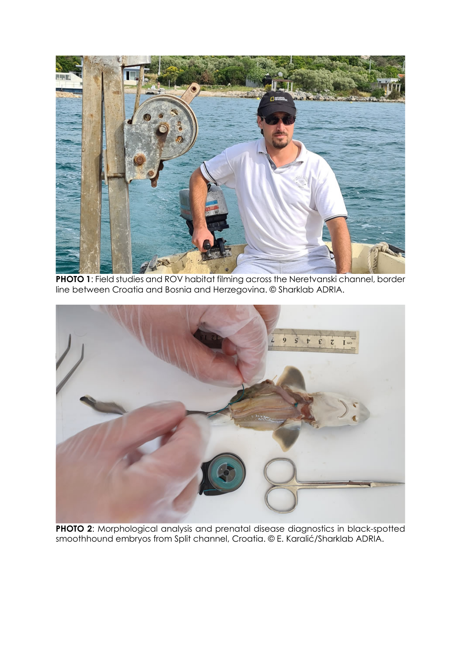

**PHOTO 1**: Field studies and ROV habitat filming across the Neretvanski channel, border line between Croatia and Bosnia and Herzegovina. © Sharklab ADRIA.



**PHOTO 2**: Morphological analysis and prenatal disease diagnostics in black-spotted smoothhound embryos from Split channel, Croatia. © E. Karalić/Sharklab ADRIA.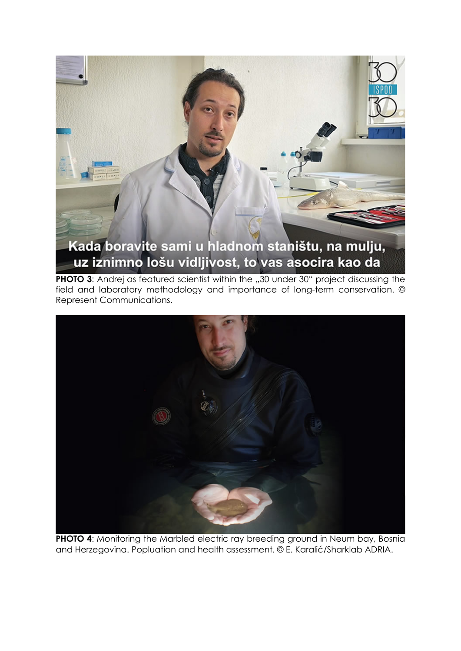

**PHOTO 3:** Andrej as featured scientist within the "30 under 30" project discussing the field and laboratory methodology and importance of long-term conservation. © Represent Communications.



**PHOTO 4:** Monitoring the Marbled electric ray breeding ground in Neum bay, Bosnia and Herzegovina. Popluation and health assessment. © E. Karalić/Sharklab ADRIA.